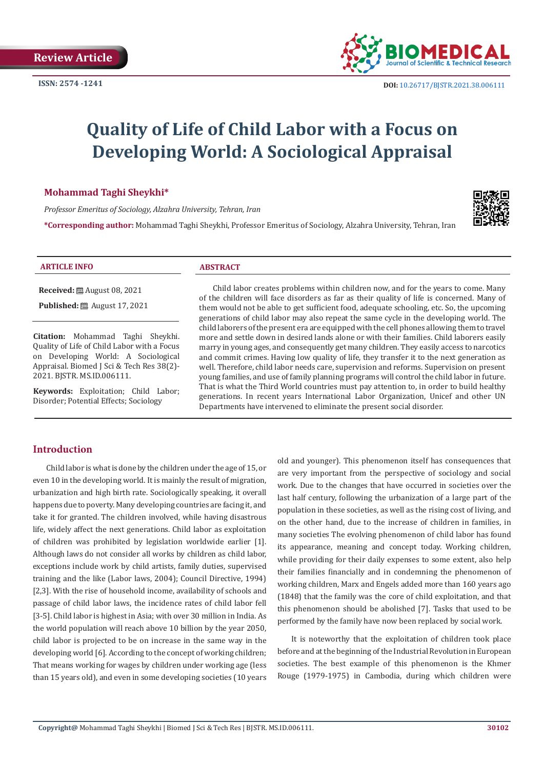

# **Quality of Life of Child Labor with a Focus on Developing World: A Sociological Appraisal**

#### **Mohammad Taghi Sheykhi\***

*Professor Emeritus of Sociology, Alzahra University, Tehran, Iran*

**\*Corresponding author:** Mohammad Taghi Sheykhi, Professor Emeritus of Sociology, Alzahra University, Tehran, Iran



#### **ARTICLE INFO ABSTRACT**

**Received:** ■ August 08, 2021

**Published:** ■ August 17, 2021

**Citation:** Mohammad Taghi Sheykhi. Quality of Life of Child Labor with a Focus on Developing World: A Sociological Appraisal. Biomed J Sci & Tech Res 38(2)- 2021. BJSTR. MS.ID.006111.

**Keywords:** Exploitation; Child Labor; Disorder; Potential Effects; Sociology

Child labor creates problems within children now, and for the years to come. Many of the children will face disorders as far as their quality of life is concerned. Many of them would not be able to get sufficient food, adequate schooling, etc. So, the upcoming generations of child labor may also repeat the same cycle in the developing world. The child laborers of the present era are equipped with the cell phones allowing them to travel more and settle down in desired lands alone or with their families. Child laborers easily marry in young ages, and consequently get many children. They easily access to narcotics and commit crimes. Having low quality of life, they transfer it to the next generation as well. Therefore, child labor needs care, supervision and reforms. Supervision on present young families, and use of family planning programs will control the child labor in future. That is what the Third World countries must pay attention to, in order to build healthy generations. In recent years International Labor Organization, Unicef and other UN Departments have intervened to eliminate the present social disorder.

# **Introduction**

Child labor is what is done by the children under the age of 15, or even 10 in the developing world. It is mainly the result of migration, urbanization and high birth rate. Sociologically speaking, it overall happens due to poverty. Many developing countries are facing it, and take it for granted. The children involved, while having disastrous life, widely affect the next generations. Child labor as exploitation of children was prohibited by legislation worldwide earlier [1]. Although laws do not consider all works by children as child labor, exceptions include work by child artists, family duties, supervised training and the like (Labor laws, 2004); Council Directive, 1994) [2,3]. With the rise of household income, availability of schools and passage of child labor laws, the incidence rates of child labor fell [3-5]. Child labor is highest in Asia; with over 30 million in India. As the world population will reach above 10 billion by the year 2050, child labor is projected to be on increase in the same way in the developing world [6]. According to the concept of working children; That means working for wages by children under working age (less than 15 years old), and even in some developing societies (10 years old and younger). This phenomenon itself has consequences that are very important from the perspective of sociology and social work. Due to the changes that have occurred in societies over the last half century, following the urbanization of a large part of the population in these societies, as well as the rising cost of living, and on the other hand, due to the increase of children in families, in many societies The evolving phenomenon of child labor has found its appearance, meaning and concept today. Working children, while providing for their daily expenses to some extent, also help their families financially and in condemning the phenomenon of working children, Marx and Engels added more than 160 years ago (1848) that the family was the core of child exploitation, and that this phenomenon should be abolished [7]. Tasks that used to be performed by the family have now been replaced by social work.

It is noteworthy that the exploitation of children took place before and at the beginning of the Industrial Revolution in European societies. The best example of this phenomenon is the Khmer Rouge (1979-1975) in Cambodia, during which children were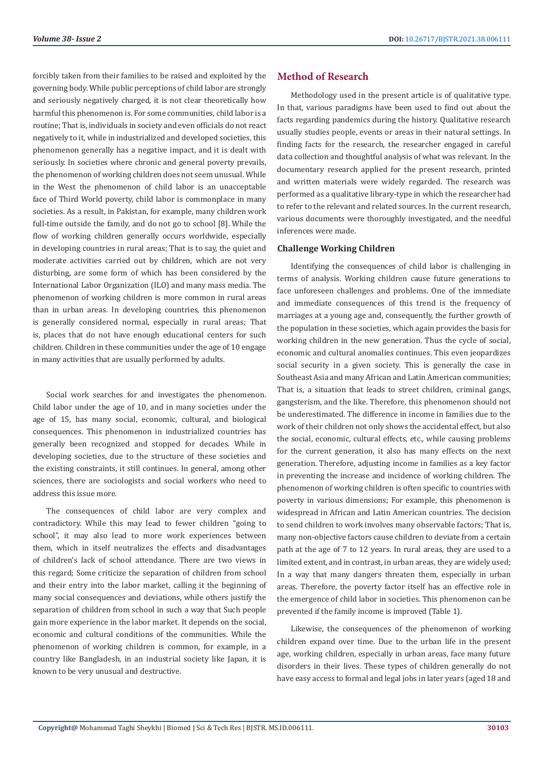forcibly taken from their families to be raised and exploited by the governing body. While public perceptions of child labor are strongly and seriously negatively charged, it is not clear theoretically how harmful this phenomenon is. For some communities, child labor is a routine; That is, individuals in society and even officials do not react negatively to it, while in industrialized and developed societies, this phenomenon generally has a negative impact, and it is dealt with seriously. In societies where chronic and general poverty prevails, the phenomenon of working children does not seem unusual. While in the West the phenomenon of child labor is an unacceptable face of Third World poverty, child labor is commonplace in many societies. As a result, in Pakistan, for example, many children work full-time outside the family, and do not go to school [8]. While the flow of working children generally occurs worldwide, especially in developing countries in rural areas; That is to say, the quiet and moderate activities carried out by children, which are not very disturbing, are some form of which has been considered by the International Labor Organization (ILO) and many mass media. The phenomenon of working children is more common in rural areas than in urban areas. In developing countries, this phenomenon is generally considered normal, especially in rural areas; That is, places that do not have enough educational centers for such children. Children in these communities under the age of 10 engage in many activities that are usually performed by adults.

Social work searches for and investigates the phenomenon. Child labor under the age of 10, and in many societies under the age of 15, has many social, economic, cultural, and biological consequences. This phenomenon in industrialized countries has generally been recognized and stopped for decades. While in developing societies, due to the structure of these societies and the existing constraints, it still continues. In general, among other sciences, there are sociologists and social workers who need to address this issue more.

The consequences of child labor are very complex and contradictory. While this may lead to fewer children "going to school", it may also lead to more work experiences between them, which in itself neutralizes the effects and disadvantages of children's lack of school attendance. There are two views in this regard; Some criticize the separation of children from school and their entry into the labor market, calling it the beginning of many social consequences and deviations, while others justify the separation of children from school in such a way that Such people gain more experience in the labor market. It depends on the social, economic and cultural conditions of the communities. While the phenomenon of working children is common, for example, in a country like Bangladesh, in an industrial society like Japan, it is known to be very unusual and destructive.

# **Method of Research**

Methodology used in the present article is of qualitative type. In that, various paradigms have been used to find out about the facts regarding pandemics during the history. Qualitative research usually studies people, events or areas in their natural settings. In finding facts for the research, the researcher engaged in careful data collection and thoughtful analysis of what was relevant. In the documentary research applied for the present research, printed and written materials were widely regarded. The research was performed as a qualitative library-type in which the researcher had to refer to the relevant and related sources. In the current research, various documents were thoroughly investigated, and the needful inferences were made.

### **Challenge Working Children**

Identifying the consequences of child labor is challenging in terms of analysis. Working children cause future generations to face unforeseen challenges and problems. One of the immediate and immediate consequences of this trend is the frequency of marriages at a young age and, consequently, the further growth of the population in these societies, which again provides the basis for working children in the new generation. Thus the cycle of social, economic and cultural anomalies continues. This even jeopardizes social security in a given society. This is generally the case in Southeast Asia and many African and Latin American communities; That is, a situation that leads to street children, criminal gangs, gangsterism, and the like. Therefore, this phenomenon should not be underestimated. The difference in income in families due to the work of their children not only shows the accidental effect, but also the social, economic, cultural effects, etc., while causing problems for the current generation, it also has many effects on the next generation. Therefore, adjusting income in families as a key factor in preventing the increase and incidence of working children. The phenomenon of working children is often specific to countries with poverty in various dimensions; For example, this phenomenon is widespread in African and Latin American countries. The decision to send children to work involves many observable factors; That is, many non-objective factors cause children to deviate from a certain path at the age of 7 to 12 years. In rural areas, they are used to a limited extent, and in contrast, in urban areas, they are widely used; In a way that many dangers threaten them, especially in urban areas. Therefore, the poverty factor itself has an effective role in the emergence of child labor in societies. This phenomenon can be prevented if the family income is improved (Table 1).

Likewise, the consequences of the phenomenon of working children expand over time. Due to the urban life in the present age, working children, especially in urban areas, face many future disorders in their lives. These types of children generally do not have easy access to formal and legal jobs in later years (aged 18 and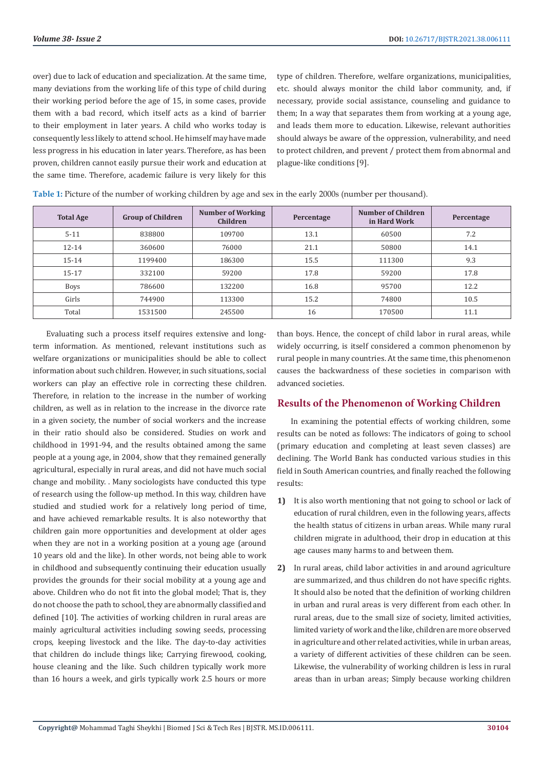over) due to lack of education and specialization. At the same time, many deviations from the working life of this type of child during their working period before the age of 15, in some cases, provide them with a bad record, which itself acts as a kind of barrier to their employment in later years. A child who works today is consequently less likely to attend school. He himself may have made less progress in his education in later years. Therefore, as has been proven, children cannot easily pursue their work and education at the same time. Therefore, academic failure is very likely for this

type of children. Therefore, welfare organizations, municipalities, etc. should always monitor the child labor community, and, if necessary, provide social assistance, counseling and guidance to them; In a way that separates them from working at a young age, and leads them more to education. Likewise, relevant authorities should always be aware of the oppression, vulnerability, and need to protect children, and prevent / protect them from abnormal and plague-like conditions [9].

| <b>Total Age</b> | <b>Group of Children</b> | <b>Number of Working</b><br>Children | Percentage | Number of Children<br>in Hard Work | Percentage |
|------------------|--------------------------|--------------------------------------|------------|------------------------------------|------------|
| $5 - 11$         | 838800                   | 109700                               | 13.1       | 60500                              | 7.2        |
| $12 - 14$        | 360600                   | 76000                                | 21.1       | 50800                              | 14.1       |
| $15 - 14$        | 1199400                  | 186300                               | 15.5       | 111300                             | 9.3        |
| $15 - 17$        | 332100                   | 59200                                | 17.8       | 59200                              | 17.8       |
| Boys             | 786600                   | 132200                               | 16.8       | 95700                              | 12.2       |
| Girls            | 744900                   | 113300                               | 15.2       | 74800                              | 10.5       |
| Total            | 1531500                  | 245500                               | 16         | 170500                             | 11.1       |

**Table 1:** Picture of the number of working children by age and sex in the early 2000s (number per thousand).

Evaluating such a process itself requires extensive and longterm information. As mentioned, relevant institutions such as welfare organizations or municipalities should be able to collect information about such children. However, in such situations, social workers can play an effective role in correcting these children. Therefore, in relation to the increase in the number of working children, as well as in relation to the increase in the divorce rate in a given society, the number of social workers and the increase in their ratio should also be considered. Studies on work and childhood in 1991-94, and the results obtained among the same people at a young age, in 2004, show that they remained generally agricultural, especially in rural areas, and did not have much social change and mobility. . Many sociologists have conducted this type of research using the follow-up method. In this way, children have studied and studied work for a relatively long period of time, and have achieved remarkable results. It is also noteworthy that children gain more opportunities and development at older ages when they are not in a working position at a young age (around 10 years old and the like). In other words, not being able to work in childhood and subsequently continuing their education usually provides the grounds for their social mobility at a young age and above. Children who do not fit into the global model; That is, they do not choose the path to school, they are abnormally classified and defined [10]. The activities of working children in rural areas are mainly agricultural activities including sowing seeds, processing crops, keeping livestock and the like. The day-to-day activities that children do include things like; Carrying firewood, cooking, house cleaning and the like. Such children typically work more than 16 hours a week, and girls typically work 2.5 hours or more

than boys. Hence, the concept of child labor in rural areas, while widely occurring, is itself considered a common phenomenon by rural people in many countries. At the same time, this phenomenon causes the backwardness of these societies in comparison with advanced societies.

# **Results of the Phenomenon of Working Children**

In examining the potential effects of working children, some results can be noted as follows: The indicators of going to school (primary education and completing at least seven classes) are declining. The World Bank has conducted various studies in this field in South American countries, and finally reached the following results:

- **1)** It is also worth mentioning that not going to school or lack of education of rural children, even in the following years, affects the health status of citizens in urban areas. While many rural children migrate in adulthood, their drop in education at this age causes many harms to and between them.
- **2)** In rural areas, child labor activities in and around agriculture are summarized, and thus children do not have specific rights. It should also be noted that the definition of working children in urban and rural areas is very different from each other. In rural areas, due to the small size of society, limited activities, limited variety of work and the like, children are more observed in agriculture and other related activities, while in urban areas, a variety of different activities of these children can be seen. Likewise, the vulnerability of working children is less in rural areas than in urban areas; Simply because working children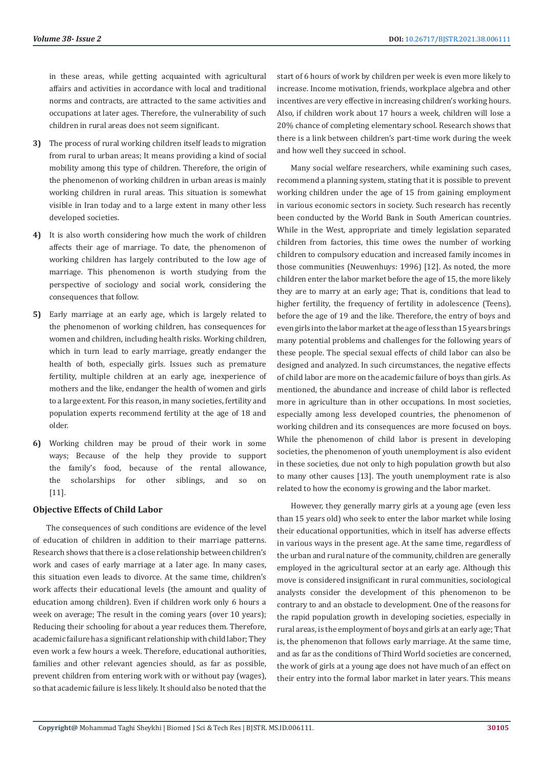in these areas, while getting acquainted with agricultural affairs and activities in accordance with local and traditional norms and contracts, are attracted to the same activities and occupations at later ages. Therefore, the vulnerability of such children in rural areas does not seem significant.

- **3)** The process of rural working children itself leads to migration from rural to urban areas; It means providing a kind of social mobility among this type of children. Therefore, the origin of the phenomenon of working children in urban areas is mainly working children in rural areas. This situation is somewhat visible in Iran today and to a large extent in many other less developed societies.
- **4)** It is also worth considering how much the work of children affects their age of marriage. To date, the phenomenon of working children has largely contributed to the low age of marriage. This phenomenon is worth studying from the perspective of sociology and social work, considering the consequences that follow.
- **5)** Early marriage at an early age, which is largely related to the phenomenon of working children, has consequences for women and children, including health risks. Working children, which in turn lead to early marriage, greatly endanger the health of both, especially girls. Issues such as premature fertility, multiple children at an early age, inexperience of mothers and the like, endanger the health of women and girls to a large extent. For this reason, in many societies, fertility and population experts recommend fertility at the age of 18 and older.
- **6)** Working children may be proud of their work in some ways; Because of the help they provide to support the family's food, because of the rental allowance, the scholarships for other siblings, and so on [11].

#### **Objective Effects of Child Labor**

The consequences of such conditions are evidence of the level of education of children in addition to their marriage patterns. Research shows that there is a close relationship between children's work and cases of early marriage at a later age. In many cases, this situation even leads to divorce. At the same time, children's work affects their educational levels (the amount and quality of education among children). Even if children work only 6 hours a week on average; The result in the coming years (over 10 years); Reducing their schooling for about a year reduces them. Therefore, academic failure has a significant relationship with child labor; They even work a few hours a week. Therefore, educational authorities, families and other relevant agencies should, as far as possible, prevent children from entering work with or without pay (wages), so that academic failure is less likely. It should also be noted that the

start of 6 hours of work by children per week is even more likely to increase. Income motivation, friends, workplace algebra and other incentives are very effective in increasing children's working hours. Also, if children work about 17 hours a week, children will lose a 20% chance of completing elementary school. Research shows that there is a link between children's part-time work during the week and how well they succeed in school.

Many social welfare researchers, while examining such cases, recommend a planning system, stating that it is possible to prevent working children under the age of 15 from gaining employment in various economic sectors in society. Such research has recently been conducted by the World Bank in South American countries. While in the West, appropriate and timely legislation separated children from factories, this time owes the number of working children to compulsory education and increased family incomes in those communities (Neuwenhuys: 1996) [12]. As noted, the more children enter the labor market before the age of 15, the more likely they are to marry at an early age; That is, conditions that lead to higher fertility, the frequency of fertility in adolescence (Teens), before the age of 19 and the like. Therefore, the entry of boys and even girls into the labor market at the age of less than 15 years brings many potential problems and challenges for the following years of these people. The special sexual effects of child labor can also be designed and analyzed. In such circumstances, the negative effects of child labor are more on the academic failure of boys than girls. As mentioned, the abundance and increase of child labor is reflected more in agriculture than in other occupations. In most societies, especially among less developed countries, the phenomenon of working children and its consequences are more focused on boys. While the phenomenon of child labor is present in developing societies, the phenomenon of youth unemployment is also evident in these societies, due not only to high population growth but also to many other causes [13]. The youth unemployment rate is also related to how the economy is growing and the labor market.

However, they generally marry girls at a young age (even less than 15 years old) who seek to enter the labor market while losing their educational opportunities, which in itself has adverse effects in various ways in the present age. At the same time, regardless of the urban and rural nature of the community, children are generally employed in the agricultural sector at an early age. Although this move is considered insignificant in rural communities, sociological analysts consider the development of this phenomenon to be contrary to and an obstacle to development. One of the reasons for the rapid population growth in developing societies, especially in rural areas, is the employment of boys and girls at an early age; That is, the phenomenon that follows early marriage. At the same time, and as far as the conditions of Third World societies are concerned, the work of girls at a young age does not have much of an effect on their entry into the formal labor market in later years. This means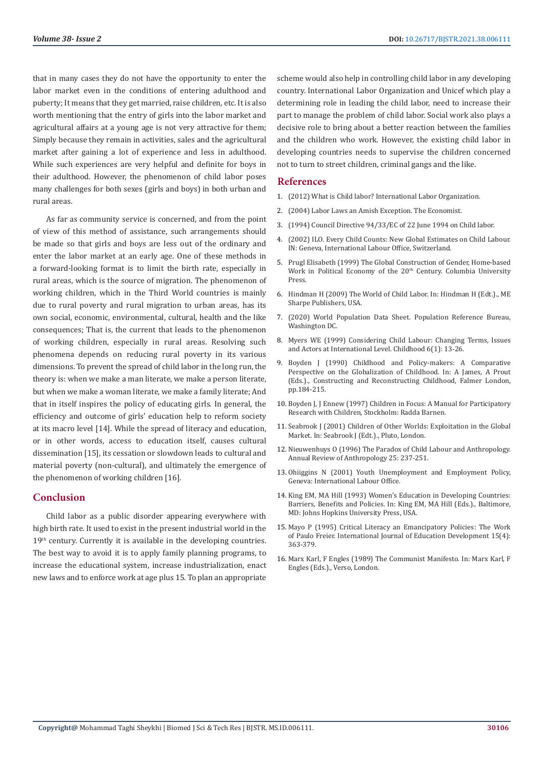that in many cases they do not have the opportunity to enter the labor market even in the conditions of entering adulthood and puberty; It means that they get married, raise children, etc. It is also worth mentioning that the entry of girls into the labor market and agricultural affairs at a young age is not very attractive for them; Simply because they remain in activities, sales and the agricultural market after gaining a lot of experience and less in adulthood. While such experiences are very helpful and definite for boys in their adulthood. However, the phenomenon of child labor poses many challenges for both sexes (girls and boys) in both urban and rural areas.

As far as community service is concerned, and from the point of view of this method of assistance, such arrangements should be made so that girls and boys are less out of the ordinary and enter the labor market at an early age. One of these methods in a forward-looking format is to limit the birth rate, especially in rural areas, which is the source of migration. The phenomenon of working children, which in the Third World countries is mainly due to rural poverty and rural migration to urban areas, has its own social, economic, environmental, cultural, health and the like consequences; That is, the current that leads to the phenomenon of working children, especially in rural areas. Resolving such phenomena depends on reducing rural poverty in its various dimensions. To prevent the spread of child labor in the long run, the theory is: when we make a man literate, we make a person literate, but when we make a woman literate, we make a family literate; And that in itself inspires the policy of educating girls. In general, the efficiency and outcome of girls' education help to reform society at its macro level [14]. While the spread of literacy and education, or in other words, access to education itself, causes cultural dissemination [15], its cessation or slowdown leads to cultural and material poverty (non-cultural), and ultimately the emergence of the phenomenon of working children [16].

#### **Conclusion**

Child labor as a public disorder appearing everywhere with high birth rate. It used to exist in the present industrial world in the 19<sup>th</sup> century. Currently it is available in the developing countries. The best way to avoid it is to apply family planning programs, to increase the educational system, increase industrialization, enact new laws and to enforce work at age plus 15. To plan an appropriate

scheme would also help in controlling child labor in any developing country. International Labor Organization and Unicef which play a determining role in leading the child labor, need to increase their part to manage the problem of child labor. Social work also plays a decisive role to bring about a better reaction between the families and the children who work. However, the existing child labor in developing countries needs to supervise the children concerned not to turn to street children, criminal gangs and the like.

#### **References**

- 1. [\(2012\) What is Child labor? International Labor Organization.](https://www.ilo.org/ipec/facts/lang--en/index.htm)
- 2. [\(2004\) Labor Laws an Amish Exception. The Economist.](https://www.economist.com/united-states/2004/02/05/an-amish-exception)
- 3. [\(1994\) Council Directive 94/33/EC of 22 June 1994 on Child labor.](https://eur-lex.europa.eu/legal-content/en/ALL/?uri=CELEX%3A31994L0033)
- 4. [\(2002\) ILO. Every Child Counts: New Global Estimates on Child Labour.](https://ilo.primo.exlibrisgroup.com/discovery/fulldisplay/alma993669043402676/41ILO_INST:41ILO_V2) [IN: Geneva, International Labour Office, Switzerland.](https://ilo.primo.exlibrisgroup.com/discovery/fulldisplay/alma993669043402676/41ILO_INST:41ILO_V2)
- 5. [Prugl Elisabeth \(1999\) The Global Construction of Gender, Home-based](http://cup.columbia.edu/book/the-global-construction-of-gender/9780231115605) Work in Political Economy of the 20<sup>th</sup> Century. Columbia University [Press.](http://cup.columbia.edu/book/the-global-construction-of-gender/9780231115605)
- 6. [Hindman H \(2009\) The World of Child Labor. In: Hindman H \(Edt.\)., ME](https://www.worldcat.org/title/world-of-child-labor-an-historical-and-regional-survey/oclc/269282238) [Sharpe Publishers, USA.](https://www.worldcat.org/title/world-of-child-labor-an-historical-and-regional-survey/oclc/269282238)
- 7. [\(2020\) World Population Data Sheet. Population Reference Bureau,](https://www.prb.org/wp-content/uploads/2020/07/letter-booklet-2020-world-population.pdf) [Washington DC.](https://www.prb.org/wp-content/uploads/2020/07/letter-booklet-2020-world-population.pdf)
- 8. [Myers WE \(1999\) Considering Child Labour: Changing Terms, Issues](https://eric.ed.gov/?id=EJ582384) [and Actors at International Level. Childhood 6\(1\): 13-26.](https://eric.ed.gov/?id=EJ582384)
- 9. Boyden J (1990) Childhood and Policy-makers: A Comparative Perspective on the Globalization of Childhood. In: A James, A Prout (Eds.)., Constructing and Reconstructing Childhood, Falmer London, pp.184-215.
- 10. [Boyden J, J Ennew \(1997\) Children in Focus: A Manual for Participatory](https://resourcecentre.savethechildren.net/library/children-focus-manual-participatory-research-children) [Research with Children, Stockholm: Radda Barnen.](https://resourcecentre.savethechildren.net/library/children-focus-manual-participatory-research-children)
- 11. [Seabrook J \(2001\) Children of Other Worlds: Exploitation in the Global](http://link.umsl.edu/portal/Children-of-other-worlds--exploitation-in-the/eHdKjKHukyI/) [Market. In: Seabrook J \(Edt.\)., Pluto, London.](http://link.umsl.edu/portal/Children-of-other-worlds--exploitation-in-the/eHdKjKHukyI/)
- 12. [Nieuwenhuys O \(1996\) The Paradox of Child Labour and Anthropology.](https://www.annualreviews.org/doi/abs/10.1146/annurev.anthro.25.1.237) [Annual Review of Anthropology 25: 237-251.](https://www.annualreviews.org/doi/abs/10.1146/annurev.anthro.25.1.237)
- 13. [Ohiiggins N \(2001\) Youth Unemployment and Employment Policy,](https://mpra.ub.uni-muenchen.de/23698/) [Geneva: International Labour Office.](https://mpra.ub.uni-muenchen.de/23698/)
- 14. [King EM, MA Hill \(1993\) Women's Education in Developing Countries:](https://documents1.worldbank.org/curated/en/849491468740172523/pdf/multi-page.pdf) [Barriers, Benefits and Policies. In: King EM, MA Hill \(Eds.\)., Baltimore,](https://documents1.worldbank.org/curated/en/849491468740172523/pdf/multi-page.pdf) [MD: Johns Hopkins University Press, USA.](https://documents1.worldbank.org/curated/en/849491468740172523/pdf/multi-page.pdf)
- 15. [Mayo P \(1995\) Critical Literacy an Emancipatory Policies: The Work](https://www.sciencedirect.com/science/article/abs/pii/073805939500021T) [of Paulo Freier. International Journal of Education Development 15\(4\):](https://www.sciencedirect.com/science/article/abs/pii/073805939500021T) [363-379.](https://www.sciencedirect.com/science/article/abs/pii/073805939500021T)
- 16. [Marx Karl, F Engles \(1989\) The Communist Manifesto. In: Marx Karl, F](https://www.versobooks.com/books/1109-the-communist-manifesto) [Engles \(Eds.\)., Verso, London.](https://www.versobooks.com/books/1109-the-communist-manifesto)